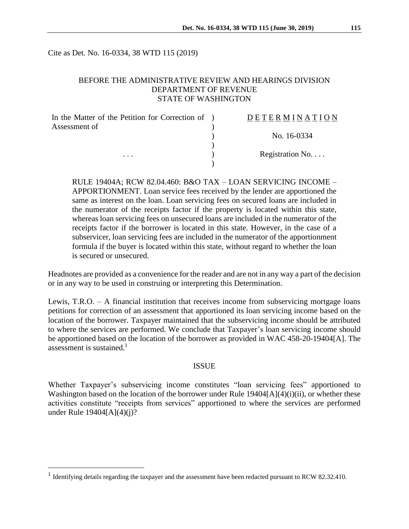Cite as Det. No. 16-0334, 38 WTD 115 (2019)

### BEFORE THE ADMINISTRATIVE REVIEW AND HEARINGS DIVISION DEPARTMENT OF REVENUE STATE OF WASHINGTON

| In the Matter of the Petition for Correction of ) | <b>DETERMINATION</b> |
|---------------------------------------------------|----------------------|
| Assessment of                                     |                      |
| $\cdots$                                          | No. 16-0334          |
|                                                   | Registration No      |
|                                                   |                      |

RULE 19404A; RCW 82.04.460: B&O TAX – LOAN SERVICING INCOME – APPORTIONMENT. Loan service fees received by the lender are apportioned the same as interest on the loan. Loan servicing fees on secured loans are included in the numerator of the receipts factor if the property is located within this state, whereas loan servicing fees on unsecured loans are included in the numerator of the receipts factor if the borrower is located in this state. However, in the case of a subservicer, loan servicing fees are included in the numerator of the apportionment formula if the buyer is located within this state, without regard to whether the loan is secured or unsecured.

Headnotes are provided as a convenience for the reader and are not in any way a part of the decision or in any way to be used in construing or interpreting this Determination.

Lewis, T.R.O. – A financial institution that receives income from subservicing mortgage loans petitions for correction of an assessment that apportioned its loan servicing income based on the location of the borrower. Taxpayer maintained that the subservicing income should be attributed to where the services are performed. We conclude that Taxpayer's loan servicing income should be apportioned based on the location of the borrower as provided in WAC 458-20-19404[A]. The assessment is sustained.<sup>1</sup>

#### ISSUE

Whether Taxpayer's subservicing income constitutes "loan servicing fees" apportioned to Washington based on the location of the borrower under Rule 19404[A](4)(i)(ii), or whether these activities constitute "receipts from services" apportioned to where the services are performed under Rule 19404[A](4)(j)?

 $\overline{a}$ 

<sup>&</sup>lt;sup>1</sup> Identifying details regarding the taxpayer and the assessment have been redacted pursuant to RCW 82.32.410.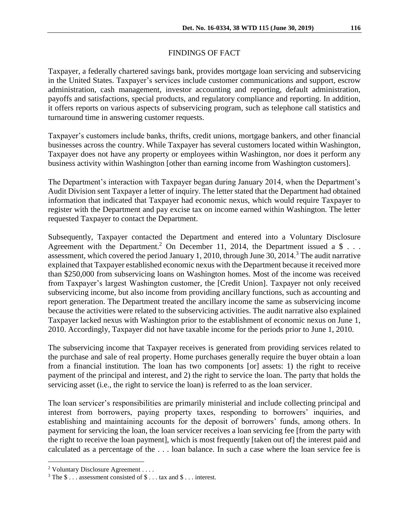## FINDINGS OF FACT

Taxpayer, a federally chartered savings bank, provides mortgage loan servicing and subservicing in the United States. Taxpayer's services include customer communications and support, escrow administration, cash management, investor accounting and reporting, default administration, payoffs and satisfactions, special products, and regulatory compliance and reporting. In addition, it offers reports on various aspects of subservicing program, such as telephone call statistics and turnaround time in answering customer requests.

Taxpayer's customers include banks, thrifts, credit unions, mortgage bankers, and other financial businesses across the country. While Taxpayer has several customers located within Washington, Taxpayer does not have any property or employees within Washington, nor does it perform any business activity within Washington [other than earning income from Washington customers].

The Department's interaction with Taxpayer began during January 2014, when the Department's Audit Division sent Taxpayer a letter of inquiry. The letter stated that the Department had obtained information that indicated that Taxpayer had economic nexus, which would require Taxpayer to register with the Department and pay excise tax on income earned within Washington. The letter requested Taxpayer to contact the Department.

Subsequently, Taxpayer contacted the Department and entered into a Voluntary Disclosure Agreement with the Department.<sup>2</sup> On December 11, 2014, the Department issued a \$ $\dots$ assessment, which covered the period January 1, 2010, through June 30, 2014.<sup>3</sup> The audit narrative explained that Taxpayer established economic nexus with the Department because it received more than \$250,000 from subservicing loans on Washington homes. Most of the income was received from Taxpayer's largest Washington customer, the [Credit Union]. Taxpayer not only received subservicing income, but also income from providing ancillary functions, such as accounting and report generation. The Department treated the ancillary income the same as subservicing income because the activities were related to the subservicing activities. The audit narrative also explained Taxpayer lacked nexus with Washington prior to the establishment of economic nexus on June 1, 2010. Accordingly, Taxpayer did not have taxable income for the periods prior to June 1, 2010.

The subservicing income that Taxpayer receives is generated from providing services related to the purchase and sale of real property. Home purchases generally require the buyer obtain a loan from a financial institution. The loan has two components [or] assets: 1) the right to receive payment of the principal and interest, and 2) the right to service the loan. The party that holds the servicing asset (i.e., the right to service the loan) is referred to as the loan servicer.

The loan servicer's responsibilities are primarily ministerial and include collecting principal and interest from borrowers, paying property taxes, responding to borrowers' inquiries, and establishing and maintaining accounts for the deposit of borrowers' funds, among others. In payment for servicing the loan, the loan servicer receives a loan servicing fee [from the party with the right to receive the loan payment], which is most frequently [taken out of] the interest paid and calculated as a percentage of the . . . loan balance. In such a case where the loan service fee is

 $\overline{a}$ 

<sup>&</sup>lt;sup>2</sup> Voluntary Disclosure Agreement . . . .

<sup>&</sup>lt;sup>3</sup> The \$ . . . assessment consisted of \$ . . . tax and \$ . . . interest.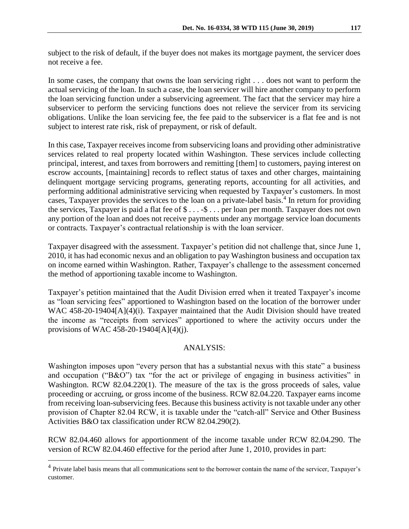subject to the risk of default, if the buyer does not makes its mortgage payment, the servicer does not receive a fee.

In some cases, the company that owns the loan servicing right . . . does not want to perform the actual servicing of the loan. In such a case, the loan servicer will hire another company to perform the loan servicing function under a subservicing agreement. The fact that the servicer may hire a subservicer to perform the servicing functions does not relieve the servicer from its servicing obligations. Unlike the loan servicing fee, the fee paid to the subservicer is a flat fee and is not subject to interest rate risk, risk of prepayment, or risk of default.

In this case, Taxpayer receives income from subservicing loans and providing other administrative services related to real property located within Washington. These services include collecting principal, interest, and taxes from borrowers and remitting [them] to customers, paying interest on escrow accounts, [maintaining] records to reflect status of taxes and other charges, maintaining delinquent mortgage servicing programs, generating reports, accounting for all activities, and performing additional administrative servicing when requested by Taxpayer's customers. In most cases, Taxpayer provides the services to the loan on a private-label basis.<sup>4</sup> In return for providing the services, Taxpayer is paid a flat fee of \$ . . . -\$ . . . per loan per month. Taxpayer does not own any portion of the loan and does not receive payments under any mortgage service loan documents or contracts. Taxpayer's contractual relationship is with the loan servicer.

Taxpayer disagreed with the assessment. Taxpayer's petition did not challenge that, since June 1, 2010, it has had economic nexus and an obligation to pay Washington business and occupation tax on income earned within Washington. Rather, Taxpayer's challenge to the assessment concerned the method of apportioning taxable income to Washington.

Taxpayer's petition maintained that the Audit Division erred when it treated Taxpayer's income as "loan servicing fees" apportioned to Washington based on the location of the borrower under WAC 458-20-19404[A](4)(i). Taxpayer maintained that the Audit Division should have treated the income as "receipts from services" apportioned to where the activity occurs under the provisions of WAC 458-20-19404[A](4)(j).

# ANALYSIS:

Washington imposes upon "every person that has a substantial nexus with this state" a business and occupation ("B&O") tax "for the act or privilege of engaging in business activities" in Washington. RCW 82.04.220(1). The measure of the tax is the gross proceeds of sales, value proceeding or accruing, or gross income of the business. RCW 82.04.220. Taxpayer earns income from receiving loan-subservicing fees. Because this business activity is not taxable under any other provision of Chapter 82.04 RCW, it is taxable under the "catch-all" Service and Other Business Activities B&O tax classification under RCW 82.04.290(2).

RCW 82.04.460 allows for apportionment of the income taxable under RCW 82.04.290. The version of RCW 82.04.460 effective for the period after June 1, 2010, provides in part:

 $\overline{a}$ 

<sup>&</sup>lt;sup>4</sup> Private label basis means that all communications sent to the borrower contain the name of the servicer, Taxpayer's customer.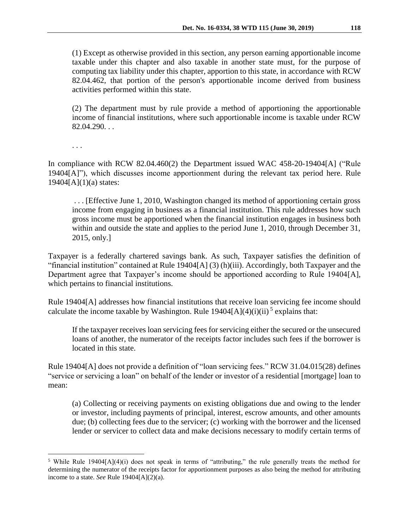(1) Except as otherwise provided in this section, any person earning apportionable income taxable under this chapter and also taxable in another state must, for the purpose of computing tax liability under this chapter, apportion to this state, in accordance with RCW 82.04.462, that portion of the person's apportionable income derived from business activities performed within this state.

(2) The department must by rule provide a method of apportioning the apportionable income of financial institutions, where such apportionable income is taxable under RCW 82.04.290. . .

. . .

 $\overline{a}$ 

In compliance with RCW 82.04.460(2) the Department issued WAC 458-20-19404[A] ("Rule 19404[A]"), which discusses income apportionment during the relevant tax period here. Rule 19404[A](1)(a) states:

. . . [Effective June 1, 2010, Washington changed its method of apportioning certain gross income from engaging in business as a financial institution. This rule addresses how such gross income must be apportioned when the financial institution engages in business both within and outside the state and applies to the period June 1, 2010, through December 31, 2015, only.]

Taxpayer is a federally chartered savings bank. As such, Taxpayer satisfies the definition of "financial institution" contained at Rule 19404[A] (3) (h)(iii). Accordingly, both Taxpayer and the Department agree that Taxpayer's income should be apportioned according to Rule 19404[A], which pertains to financial institutions.

Rule 19404[A] addresses how financial institutions that receive loan servicing fee income should calculate the income taxable by Washington. Rule  $19404[A](4)(i)(ii)^5$  explains that:

If the taxpayer receives loan servicing fees for servicing either the secured or the unsecured loans of another, the numerator of the receipts factor includes such fees if the borrower is located in this state.

Rule 19404[A] does not provide a definition of "loan servicing fees." RCW 31.04.015(28) defines "service or servicing a loan" on behalf of the lender or investor of a residential [mortgage] loan to mean:

(a) Collecting or receiving payments on existing obligations due and owing to the lender or investor, including payments of principal, interest, escrow amounts, and other amounts due; (b) collecting fees due to the servicer; (c) working with the borrower and the licensed lender or servicer to collect data and make decisions necessary to modify certain terms of

<sup>&</sup>lt;sup>5</sup> While Rule 19404[A](4)(i) does not speak in terms of "attributing," the rule generally treats the method for determining the numerator of the receipts factor for apportionment purposes as also being the method for attributing income to a state. *See* Rule 19404[A](2)(a).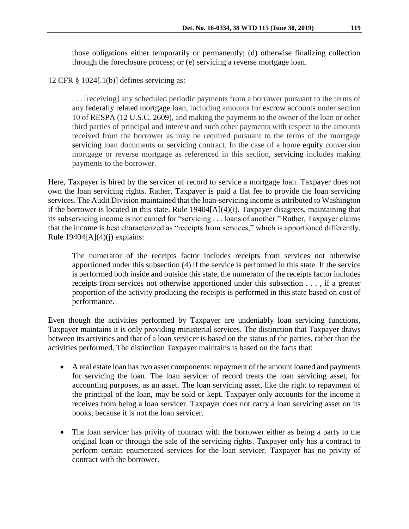those obligations either temporarily or permanently; (d) otherwise finalizing collection through the foreclosure process; or (e) servicing a reverse mortgage loan.

12 CFR § 1024[.1(b)] defines servicing as:

. . . [receiving] any scheduled periodic payments from a borrower pursuant to the terms of any federally related mortgage loan, including amounts for escrow accounts under section 10 of RESPA (12 U.S.C. 2609), and making the payments to the owner of the loan or other third parties of principal and interest and such other payments with respect to the amounts received from the borrower as may be required pursuant to the terms of the mortgage servicing loan documents or servicing contract. In the case of a home equity conversion mortgage or reverse mortgage as referenced in this section, servicing includes making payments to the borrower.

Here, Taxpayer is hired by the servicer of record to service a mortgage loan. Taxpayer does not own the loan servicing rights. Rather, Taxpayer is paid a flat fee to provide the loan servicing services. The Audit Division maintained that the loan-servicing income is attributed to Washington if the borrower is located in this state. Rule 19404[A](4)(i). Taxpayer disagrees, maintaining that its subservicing income is not earned for "servicing . . . loans of another." Rather, Taxpayer claims that the income is best characterized as "receipts from services," which is apportioned differently. Rule  $19404[A](4)(j)$  explains:

The numerator of the receipts factor includes receipts from services not otherwise apportioned under this subsection (4) if the service is performed in this state. If the service is performed both inside and outside this state, the numerator of the receipts factor includes receipts from services not otherwise apportioned under this subsection . . . , if a greater proportion of the activity producing the receipts is performed in this state based on cost of performance.

Even though the activities performed by Taxpayer are undeniably loan servicing functions, Taxpayer maintains it is only providing ministerial services. The distinction that Taxpayer draws between its activities and that of a loan servicer is based on the status of the parties, rather than the activities performed. The distinction Taxpayer maintains is based on the facts that:

- A real estate loan has two asset components: repayment of the amount loaned and payments for servicing the loan. The loan servicer of record treats the loan servicing asset, for accounting purposes, as an asset. The loan servicing asset, like the right to repayment of the principal of the loan, may be sold or kept. Taxpayer only accounts for the income it receives from being a loan servicer. Taxpayer does not carry a loan servicing asset on its books, because it is not the loan servicer.
- The loan servicer has privity of contract with the borrower either as being a party to the original loan or through the sale of the servicing rights. Taxpayer only has a contract to perform certain enumerated services for the loan servicer. Taxpayer has no privity of contract with the borrower.